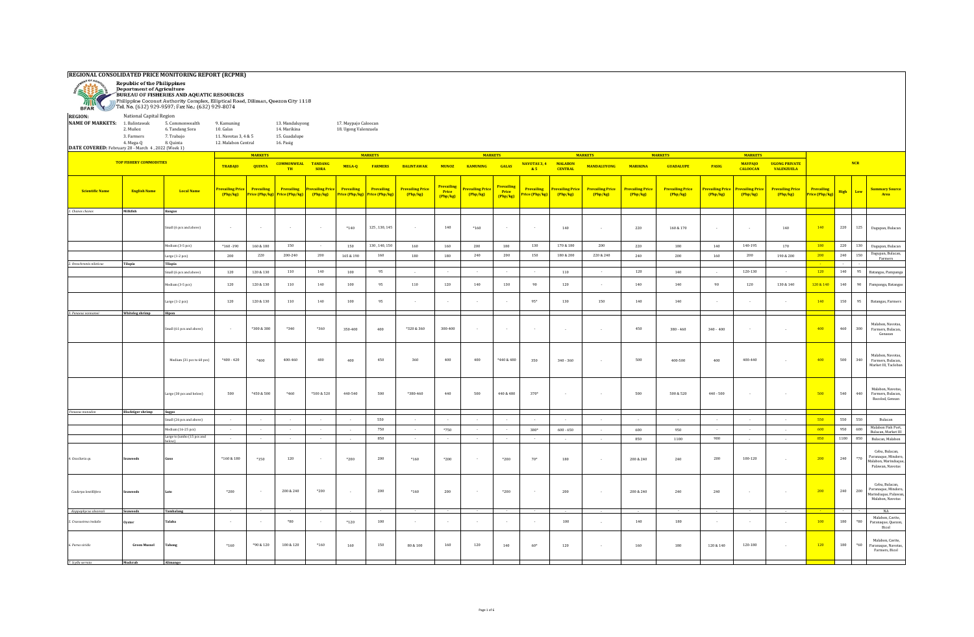

**REGIONAL CONSOLIDATED PRICE MONITORING REPORT (RCPMR)**<br> **Republic of the Philippines<br>
Department of Agriculture**<br> **PRIRER BAND AQUATIC RESOURCES**<br>
Philippine Cocont Authority Complex, Elliptical Road, Diliman, Quezon City

| <b>REGION:</b><br><b>NAME OF MARKETS:</b> 1. Balintawak<br>DATE COVERED: February 28 - March 4, 2022 (Week 1) | National Capital Region<br>2. Muñoz<br>3. Farmers<br>4. Mega-Q | 5. Commonwealth<br>6. Tandang Sora<br>7. Trabajo<br>8. Quinta | 9. Kamuning<br>10. Galas<br>11. Navotas 3, 4 & 5<br>12. Malabon Central |                                     | 13. Mandaluyong<br>14. Marikina<br>15. Guadalupe<br>16. Pasig |                               | 17. Maypajo Caloocan<br>18. Ugong Valenzuela |                              |                                     |                                       |                            |                                        |                                     |                                     |                                   |                                     |                                     |                              |                                   |                                           |                                                  |                    |       |                                                                                   |
|---------------------------------------------------------------------------------------------------------------|----------------------------------------------------------------|---------------------------------------------------------------|-------------------------------------------------------------------------|-------------------------------------|---------------------------------------------------------------|-------------------------------|----------------------------------------------|------------------------------|-------------------------------------|---------------------------------------|----------------------------|----------------------------------------|-------------------------------------|-------------------------------------|-----------------------------------|-------------------------------------|-------------------------------------|------------------------------|-----------------------------------|-------------------------------------------|--------------------------------------------------|--------------------|-------|-----------------------------------------------------------------------------------|
|                                                                                                               |                                                                |                                                               |                                                                         | <b>MARKETS</b>                      |                                                               |                               |                                              | <b>MARKETS</b>               |                                     |                                       | <b>MARKETS</b>             |                                        |                                     |                                     | <b>MARKETS</b>                    |                                     | <b>MARKETS</b>                      |                              | <b>MARKETS</b>                    |                                           |                                                  |                    |       |                                                                                   |
|                                                                                                               | <b>TOP FISHERY COMMODITIES</b>                                 |                                                               | <b>TRABAJO</b>                                                          | <b>QUINTA</b>                       | <b>COMMONWEAL</b><br>TH                                       | <b>TANDANG</b><br><b>SORA</b> | MEGA-Q                                       | <b>FARMERS</b>               | <b>BALINTAWAK</b>                   | <b>MUNOZ</b>                          | <b>KAMUNING</b>            | <b>GALAS</b>                           | NAVOTAS 3, 4<br>&5                  | <b>MALABON</b><br><b>CENTRAL</b>    | <b>MANDALUYONG</b>                | <b>MARIKINA</b>                     | <b>GUADALUPE</b>                    | PASIG                        | <b>MAYPAJO</b><br><b>CALOOCAN</b> | <b>UGONG PRIVATE</b><br><b>VALENZUELA</b> |                                                  | <b>NCR</b>         |       |                                                                                   |
| <b>Scientific Name</b>                                                                                        | <b>English Name</b>                                            | <b>Local Name</b>                                             | revailing Price<br>Php/kg                                               | <b>Prevailing</b><br>Price (Php/kg) | Prevailing<br>Price (Php/kg)                                  | Prevailing Price<br>Php/kg    | Prevailing<br>Price (Php/kg)                 | Prevailing<br>Price (Php/kg) | <b>Prevailing Price</b><br>(Php/kg) | <b>Prevailin</b><br>Price<br>(Php/kg) | Prevailing Price<br>Php/kg | <b>Prevailing</b><br>Price<br>(Php/kg) | <b>Prevailing</b><br>Price (Php/kg) | <b>Prevailing Price</b><br>[Php/kg] | <b>Prevailing Price</b><br>Php/kg | <b>Prevailing Price</b><br>[Php/kg] | <b>Prevailing Price</b><br>(Php/kg) | Prevailing Price<br>(Php/kg) | revailing Price<br>Php/kg         | <b>Prevailing Price</b><br>(Php/kg)       | <b>Prevailing</b><br><mark>Price (Php/kg)</mark> | <b>High</b><br>Low |       | <b>Summary Source</b><br>Area                                                     |
| 1. Chanos chanos                                                                                              | Milkfish                                                       | Bangus                                                        |                                                                         |                                     |                                                               |                               |                                              |                              |                                     |                                       |                            |                                        |                                     |                                     |                                   |                                     |                                     |                              |                                   |                                           |                                                  |                    |       |                                                                                   |
|                                                                                                               |                                                                | Small (6 pcs and above)                                       | $\sim$                                                                  | $\sim 100$                          | $\sim$                                                        | $\sim$                        | $*140$                                       | 125, 130, 145                | $\sim$                              | 140                                   | $*160$                     | $\sim$ $\sim$                          | $\sim$                              | 140                                 | $\sim$                            | 220                                 | 160 & 170                           | $\sim$                       | $\sim$                            | 140                                       | 140                                              | 220                | 125   | Dagupan, Bulacan                                                                  |
|                                                                                                               |                                                                | Medium (3-5 pcs)                                              | $*160 - 190$                                                            | 160 & 180                           | 150                                                           | . .                           | 150                                          | 130, 140, 150                | 160                                 | 160                                   | 200                        | 180                                    | 130                                 | 170 & 180                           | 200                               | 220                                 | 180                                 | 140                          | 140-195                           | 170                                       | 180                                              | 220                | 130   | Dagupan, Bulacan                                                                  |
|                                                                                                               |                                                                | arge (1-2 pcs)                                                | 200                                                                     | 220                                 | 200-240                                                       | 200                           | 165 & 190                                    | 160                          | 180                                 | 180                                   | 240                        | 200                                    | 150                                 | 180 & 200                           | 220 & 240                         | 240                                 | 200                                 | 160                          | 200                               | 190 & 200                                 | 200                                              | 240                | 150   | Dagupan, Bulacan,<br>Farmers                                                      |
| 2. Oreochromis niloticus                                                                                      | Tilapia                                                        | Tilapia                                                       |                                                                         |                                     |                                                               |                               |                                              |                              |                                     |                                       |                            |                                        |                                     |                                     |                                   |                                     |                                     |                              |                                   |                                           |                                                  |                    |       |                                                                                   |
|                                                                                                               |                                                                | Small (6 pcs and above)                                       | 120                                                                     | 120 & 130                           | 110                                                           | 140                           | 100                                          | 95                           | $\sim$ $\sim$                       | $\sim$                                | $\sim$                     | $\sim$                                 | $\sim$                              | 110                                 | $\sim$                            | 120                                 | 140                                 | $\sim$ $\sim$                | 120-130                           | $\sim$ $\sim$                             | 120                                              | 140                | 95    | Batangas, Pampanga                                                                |
|                                                                                                               |                                                                | Medium (3-5 pcs)                                              | 120                                                                     | 120 & 130                           | 110                                                           | 140                           | 100                                          | 95                           | 110                                 | 120                                   | 140                        | 130                                    | 90                                  | 120                                 |                                   | 140                                 | 140                                 | 90                           | 120                               | $130\text{ \& }140$                       | 120 & 140                                        | 140                | 90    | Pampanga, Batangas                                                                |
|                                                                                                               |                                                                | $\arg e$ (1-2 pcs)                                            | 120                                                                     | 120 & 130                           | 110                                                           | 140                           | 100                                          | 95                           |                                     |                                       |                            |                                        | $95*$                               | 130                                 | 150                               | 140                                 | 140                                 |                              | n.                                |                                           | 140                                              | 150                | 95    | Batangas, Farmers                                                                 |
| 3. Penaeus vannamei                                                                                           | Whiteleg shrimp                                                | Hipon                                                         |                                                                         |                                     |                                                               |                               |                                              |                              |                                     |                                       |                            |                                        |                                     |                                     |                                   |                                     |                                     |                              |                                   |                                           |                                                  |                    |       |                                                                                   |
|                                                                                                               |                                                                | Small (61 pcs and above)                                      | $\sim$                                                                  | $*300 & 380$                        | *340                                                          | *360                          | 350-400                                      | 400                          | *320 & 360                          | 300-400                               | $\sim$                     | $\sim$                                 | $\sim$                              | $\sim$                              | $\sim$                            | 450                                 | $380 - 460$                         | $340 - 400$                  | $\sim$                            |                                           | 400                                              | 460<br>300         |       | Malabon, Navotas,<br>Farmers, Bulacan,<br>Genasan                                 |
|                                                                                                               |                                                                | Medium (31 pcs to 60 pcs)                                     | $*400 - 420$                                                            | $*400$                              | 400-460                                                       | 480                           | 400                                          | 450                          | 360                                 | 400                                   | 400                        | $*440 & 480$                           | 350                                 | $340 - 360$                         | $\sim$                            | 500                                 | 400-500                             | 400                          | 400-440                           | $\sim$                                    | 400                                              | 500                | 340   | Malabon, Navotas,<br>Farmers, Bulacan.<br>Market III, Tacloban                    |
|                                                                                                               |                                                                | Large (30 pcs and below)                                      | 500                                                                     | *450 & 500                          | *460                                                          | *500 & 520                    | 440-540                                      | 500                          | $*380 - 460$                        | 440                                   | 500                        | 440 & 480                              | $370*$                              | $\sim$                              | $\sim$                            | 500                                 | 500 & 520                           | $440 - 500$                  | $\sim$                            | $\sim$                                    | 500                                              | 540                | 440   | Malabon, Navotas,<br>Farmers, Bulacan,<br>Bacolod, Gensan                         |
| Penaeus monodon                                                                                               | <b>Blacktiger shrimp</b>                                       | Sugpo<br>small (26 pcs and above)                             | $\sim$                                                                  | $\sim$                              | $\sim$                                                        | $\sim$                        | $\sim$                                       | 550                          | $\sim$                              |                                       | $\sim$                     | $\sim$                                 | $\sim$                              | $\sim$                              | $\sim$                            | $\sim$                              | $\sim$                              | $\sim$                       | $\sim$                            | $\sim$                                    | 550                                              | 550                | 550   | Bulacan                                                                           |
|                                                                                                               |                                                                | dedium (16-25 pcs)                                            | $\sim$                                                                  | $\sim 10^{-1}$                      | $\sim$                                                        | $\sim$                        | $\sim$                                       | 750                          | $\sim$                              | $*750$                                | $\sim$                     | $\sim$                                 | $380*$                              | $600 - 650$                         |                                   | 600                                 | 950                                 | $\sim$                       | $\sim$                            |                                           | 600                                              | 950<br>600         |       | Malabon Fish Port.                                                                |
|                                                                                                               |                                                                | Large to Jumbo (15 pcs and                                    | $\sim$                                                                  | $\sim$                              | $\sim$                                                        |                               | $\sim$                                       | 850                          | $\sim$                              |                                       |                            | $\sim$                                 | $\sim$                              | $\sim$                              |                                   | 850                                 | 1100                                | 900                          | $\sim$                            | $\sim$                                    | 850                                              | 1100               | 850   | Bulacan, Market III<br>Bulacan, Malabon                                           |
| 4. Gracilaria sp.                                                                                             | <b>Seaweed</b>                                                 |                                                               | $*160 & 180$                                                            | $*150$                              | 120                                                           |                               | $*200$                                       | 200                          | $*160$                              | $*200$                                |                            | $*200$                                 | $70*$                               | 180                                 |                                   | 200 & 240                           | 240                                 | 200                          | 100-120                           |                                           | 200                                              | 240                | $*70$ | Cebu, Bulacan,<br>Paranaque, Mindoro,<br>Malabon, Marinduque,<br>Palawan, Navotas |
| Caulerpa lentillifera                                                                                         | <b>Seaweeds</b>                                                |                                                               | $*200$                                                                  | $\sim$                              | 200 & 240                                                     | $*200$                        | $\sim$                                       | 200                          | $*160$                              | 200                                   | $\sim$                     | $*200$                                 | $\sim$                              | 200                                 | $\sim$                            | 200 & 240                           | 240                                 | 240                          | $\sim$                            |                                           | 200                                              | 240                | 200   | Cebu, Bulacan,<br>Paranaque, Mindoro,<br>Marinduque, Palawan,<br>Malabon, Navotas |
| Kappaphycus alvarezii                                                                                         | <b>Seaweeds</b>                                                | Tambalang                                                     |                                                                         |                                     |                                                               |                               |                                              |                              |                                     |                                       |                            |                                        |                                     |                                     |                                   |                                     |                                     |                              |                                   |                                           |                                                  |                    |       | NA<br>Malabon, Cavite,                                                            |
| 5. Crassostrea iredalie                                                                                       | Ovster                                                         | Falaba                                                        | $\sim$                                                                  | $\sim$                              | $*80$                                                         | $\sim$                        | $*120$                                       | 100                          |                                     | $\sim$                                | $\sim$                     | $\sim$                                 | $\sim$                              | 100                                 | $\sim$                            | 140                                 | 180                                 |                              | $\sim$                            | $\sim$                                    | 100                                              | 180                | $*80$ | Paranaque, Quezon,<br>Bicol                                                       |
| 6. Perna viridis                                                                                              | <b>Green Mussel</b>                                            | <b>Tahong</b>                                                 | $^{\ast}160$                                                            | *90 & 120                           | $100\,\&\,120$                                                | $*160$                        | $160\,$                                      | 150                          | 80 & 100                            | 160                                   | 120                        | 140                                    | $60*$                               | $120\,$                             |                                   | 160                                 | 180                                 | $120\ \&\ 140$               | 120-180                           |                                           | 120                                              | 180                | $*60$ | Malabon, Cavite,<br>Paranaque, Navotas,<br>Farmers, Bicol                         |
| 7. Scylla serrata                                                                                             | Mudcrab                                                        | Alimango                                                      |                                                                         |                                     |                                                               |                               |                                              |                              |                                     |                                       |                            |                                        |                                     |                                     |                                   |                                     |                                     |                              |                                   |                                           |                                                  |                    |       |                                                                                   |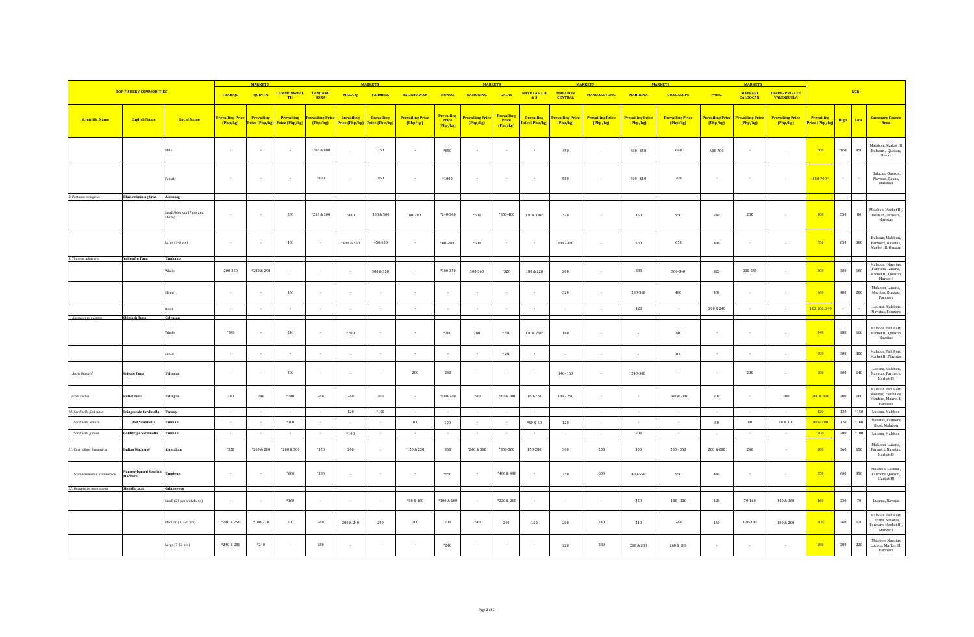|                            |                                   |                                   |                | <b>MARKETS</b>                                              |                                 |                                   |                              | <b>MARKETS</b>               |                                     |                                        | <b>MARKETS</b>               |                                 |                                    |                                  | <b>MARKETS</b>                      |                                   | <b>MARKETS</b>                    |                            | <b>MARKETS</b>                    |                                           |                                     |         |             |                                                                            |
|----------------------------|-----------------------------------|-----------------------------------|----------------|-------------------------------------------------------------|---------------------------------|-----------------------------------|------------------------------|------------------------------|-------------------------------------|----------------------------------------|------------------------------|---------------------------------|------------------------------------|----------------------------------|-------------------------------------|-----------------------------------|-----------------------------------|----------------------------|-----------------------------------|-------------------------------------------|-------------------------------------|---------|-------------|----------------------------------------------------------------------------|
|                            | <b>TOP FISHERY COMMODITIES</b>    |                                   | <b>TRABAJO</b> | <b>QUINTA</b>                                               | <b>COMMONWEAL TANDANG</b><br>TH | <b>SORA</b>                       | MEGA-Q                       | <b>FARMERS</b>               | <b>BALINTAWAK</b>                   | <b>MUNOZ</b>                           | <b>KAMUNING</b>              | <b>GALAS</b>                    | NAVOTAS 3, 4<br>85                 | <b>MALABON</b><br><b>CENTRAL</b> | <b>MANDALUYONG</b>                  | <b>MARIKINA</b>                   | <b>GUADALUPE</b>                  | PASIG                      | <b>MAYPAJO</b><br><b>CALOOCAN</b> | <b>UGONG PRIVATE</b><br><b>VALENZUELA</b> |                                     |         | <b>NCR</b>  |                                                                            |
| <b>Scientific Name</b>     | <b>English Name</b>               | <b>Local Name</b>                 | Php/kg         | revailing Price Prevailing<br>Price (Php/kg) Price (Php/kg) | <b>Prevailing</b>               | <b>Prevailing Price</b><br>Php/kg | Prevailing<br>Price (Php/kg) | Prevailing<br>Price (Php/kg) | <b>Prevailing Price</b><br>(Php/kg) | <b>Prevailing</b><br>Price<br>(Php/kg) | Prevailing Price<br>(Php/kg) | Prevailing<br>Price<br>(Php/kg) | <b>Prevailing</b><br>rice (Php/kg) | Prevailing Price<br>[Php/kg]     | <b>Prevailing Price</b><br>(Php/kg) | <b>Prevailing Price</b><br>Php/kg | <b>Prevailing Price</b><br>Php/kg | Prevailing Price<br>Php/kg | <b>Prevailing Price</b><br>Php/kg | <b>Prevailing Price</b><br>(Php/kg)       | <b>Prevailing</b><br>Price (Php/kg) | High    | Low         | <b>Summary Source</b><br>Area                                              |
|                            |                                   |                                   | $\sim$         | $\sim$ $\sim$                                               | $\sim$                          | $*700 & 800$                      | $\sim$                       | 750                          | $\sim$                              | *850                                   |                              | $\sim$                          | $\sim$                             | 450                              | $\sim$                              | $600 - 650$                       | 600                               | 600-700                    |                                   | $\sim$                                    | 600                                 | $*850$  | 450         | Malabon, Market III<br>Bulacan, Quezon,<br>Roxas                           |
|                            |                                   | emale                             | $\sim$         |                                                             | $\sim$                          | $*800$                            | $\sim$                       | 950                          | $\sim$                              | $*1000$                                |                              | $\sim$                          | $\sim$                             | 550                              | $\sim$                              | $600 - 650$                       | 700                               | $\sim$                     |                                   | $\sim$                                    | 550-7001                            | $\sim$  |             | Bulacan, Quezon<br>Navotas, Roxas,<br>Malabon                              |
| 8. Portunus pelagicus      | <b>Blue swimming Crab</b>         | Alimasag                          |                |                                                             |                                 |                                   |                              |                              |                                     |                                        |                              |                                 |                                    |                                  |                                     |                                   |                                   |                            |                                   |                                           |                                     |         |             |                                                                            |
|                            |                                   | Small/Medium (7 pcs and<br>above) | $\sim$         |                                                             | $200\,$                         | $*250 & 300$                      | $*480$                       | $300\,\&\, 500$              | 80-200                              | $*240 - 360$                           | $*500$                       | $*350 - 400$                    | 130 & 140*                         | 320                              | $\sim$                              | 360                               | 550                               | 240                        | $200\,$                           | $\sim$                                    | 200                                 | 550     | $_{\rm 80}$ | Malabon, Market III,<br>Bulacan, Farmers,<br>Navotas                       |
|                            |                                   | Large (1-6 pcs)                   | $\sim$         |                                                             | 400                             |                                   | $*480 & 500$                 | 450-650                      | $\sim$                              | $*440 - 600$                           | $*600$                       | $\sim$                          | $\sim$                             | $380 - 420$                      |                                     | 500                               | 650                               | 480                        |                                   |                                           | 650                                 | 650     | 380         | Bulacan, Malabon,<br>Farmers, Navotas,<br>Market III, Quezon               |
| 9. Thunnus albacares       | <b>Yellowfin Tuna</b>             | Tambakol                          |                |                                                             |                                 |                                   |                              |                              |                                     |                                        |                              |                                 |                                    |                                  |                                     |                                   |                                   |                            |                                   |                                           |                                     |         |             | Malabon, Navotas,                                                          |
|                            |                                   | Whole                             | 200-350        | *280 & 290                                                  |                                 |                                   | $\overline{\phantom{a}}$     | 300 & 320                    |                                     | *300-350                               | 300-360                      | $*320$                          | 180 & 220                          | 280                              |                                     | 380                               | 300-340                           | 320                        | 200-240                           | $\sim$                                    | 300                                 | 380     | 180         | Farmers, Lucena,<br>Market III, Quezon,<br>Market I                        |
|                            |                                   |                                   | $\sim$         |                                                             | 360                             | $\sim$                            | $\sim$                       | $\sim$                       | $\sim$                              | $\sim$                                 |                              | $\sim$                          | $\sim$                             | 320                              | $\sim$                              | 280-360                           | 480                               | 400                        |                                   | $\sim$                                    | 360                                 | 480     | 280         | Malabon, Lucena,<br>Navotas, Quezon,<br>Farmers                            |
|                            |                                   | Head                              | $\sim$         | $\sim$ $\sim$                                               | $\sim$                          | $\sim$                            | $\sim$                       | $\sim$                       | $\sim$                              | $\sim$                                 | $\sim$                       | $\sim 10^{-1}$                  | $\sim$                             | $\sim$                           | $\sim$ $\sim$                       | 120                               | $\sim$                            | 200 & 240                  | $\sim$ $\sim$                     | $\sim$                                    | 120, 200, 240                       | $\sim$  |             | Lucena, Malabon,                                                           |
| Katsuwonus pelamis         | Skipjack Tuna                     | Gulyasan                          |                |                                                             |                                 |                                   |                              |                              |                                     |                                        |                              |                                 |                                    |                                  |                                     |                                   |                                   |                            |                                   |                                           |                                     |         |             | Navotas, Farmers                                                           |
|                            |                                   | Whole                             | $*340$         |                                                             | 240                             |                                   | $*200$                       | $\sim$                       | $\sim$                              | $*280$                                 | 280                          | $*200$                          | 170 & 200*                         | 160                              | $\sim$                              | $\sim$                            | $240\,$                           | $\sim$                     |                                   | $\sim$                                    | 240                                 | 280     | 160         | Malabon Fish Port,<br>Market III, Quezon,<br>Navotas                       |
|                            |                                   | Sliced                            |                |                                                             |                                 |                                   |                              |                              |                                     |                                        |                              | $*300$                          |                                    |                                  |                                     |                                   | 300                               |                            |                                   |                                           | 300                                 | $300\,$ | $300\,$     | Malabon Fish Port,<br>Market III, Navotas                                  |
| Auxis thazard              | <b>Frigate Tuna</b>               | <b>Fulingan</b>                   |                |                                                             | $200\,$                         |                                   | $\sim$                       |                              | $200\,$                             | $240\,$                                |                              | $\sim$                          |                                    | $140 - 160$                      | $\sim$                              | 240-300                           | $\cdot$                           |                            | $200\,$                           | $\sim$                                    | 200                                 | $300\,$ | $140\,$     | Lucena, Malabon,<br>Navotas, Farmers,<br>Market III                        |
| Auxis rochei               | <b>Bullet Tuna</b>                | Tulingan                          | 300            | 240                                                         | $*240$                          | 260                               | 240                          | 300                          | $\sim$                              | $*180 - 240$                           | 280                          | 280 & 300                       | 160-220                            | $180 - 250$                      | $\sim$                              | $\sim$                            | 260 & 280                         | $200\,$                    |                                   | 200                                       | 280 & 300                           | $300\,$ | 160         | Malabon Fish Port,<br>Navotas, Zambales,<br>Mindoro, Makret 1,<br>Farmers  |
| 10. Sardinella fimbriata   | Fringescale Sardinella            | Tunsoy                            | $\sim$         | $\sim$                                                      | $\sim$                          | $\sim$                            | 120                          | *150                         | $\sim$                              | $\sim$                                 | $\sim$                       | $\sim$                          | $\sim$                             | $\sim$                           | $\sim$                              | $\sim$                            | $\sim$                            | $\sim$                     | $\sim$                            | $\sim$                                    | 120                                 | 120     | *150        | Lucena, Malabon                                                            |
| Sardinella lemuru          | <b>Bali Sardinella</b>            | Tamban                            |                |                                                             | $*100$                          |                                   | $\sim$                       |                              | 100                                 | 100                                    |                              | $\sim$                          | *50 & 60                           | 120                              |                                     |                                   | $\cdot$                           | 80                         | 80                                | $80\text{ \& }100$                        | 80 & 100                            | 120     | $*160$      | Navotas, Farmers,<br>Bicol, Malabon                                        |
| Sardinella gibosa          | Goldstripe Sardinella             | <b>Tamban</b>                     | $\sim$         | $\sim$                                                      | $\sim$                          | $\sim$                            | $*100$                       | $\sim$                       | $\sim$                              | $\sim$                                 | $\sim$                       | $\sim$                          | $\sim$                             | $\sim$                           | $\sim$                              | 200                               | $\sim$                            | $\sim$                     |                                   | $\sim$                                    | 200                                 | 200     | $*100$      | Lucena, Malabon                                                            |
| 11. Rastrelliger kanagurta | <b>Indian Mackerel</b>            | <b>Uumahan</b>                    | $*320$         | *260 & 280                                                  | *200 & 300                      | $*320$                            | 260                          |                              | *120 & 220                          | 360                                    | *240 & 360                   | *350-360                        | 150-280                            | 300                              | 250                                 | 300                               | $280 - 360$                       | 200 & 280                  | 240                               | $\sim$                                    | 280                                 | 360     | 150         | Malabon, Lucena,<br>Farmers, Navotas,<br>Market III                        |
| Scomberomorus commerson    | larrow-barred Spanish<br>Mackerel | Tangigue                          | $\sim$         | - 14                                                        | $*600$                          | $*580$                            | $\sim$                       | $\sim$                       | $\sim$                              | *550                                   |                              | *400 & 480                      | $\sim$                             | 350                              | 600                                 | 400-550                           | 550                               | 440                        |                                   | $\sim$                                    | 550                                 | 600     | 350         | Malabon, Lucena<br>Farmers, Quezon,<br>Market III                          |
| 12. Decapterus macrosoma   | Shortfin scad                     | Galunggong                        |                |                                                             |                                 |                                   |                              |                              |                                     |                                        |                              |                                 |                                    |                                  |                                     |                                   |                                   |                            |                                   |                                           |                                     |         |             |                                                                            |
|                            |                                   | Small (21 pcs and above)          |                |                                                             | $*160$                          |                                   | $\sim$                       | $\sim$                       | $*80 & 160$                         | 100 & 160                              |                              | *220 & 260                      | $\sim$                             | $\sim$                           |                                     | 220                               | $180 - 230$                       | 120                        | 70-160                            | 140 & 160                                 | 160                                 | 230     | 70          | Lucena, Navotas                                                            |
|                            |                                   | Medium (11-20 pcs)                | *240 & 250     | *180-220                                                    | 200                             | 260                               | 200 & 240                    | 250                          | 200                                 | 200                                    | 240                          | 240                             | 150                                | 200                              | 240                                 | 240                               | 260                               | 160                        | 120-180                           | $180\text{ \& }200$                       | 200                                 | 260     | 120         | Malabon Fish Port,<br>Lucena, Navotas,<br>Farmers, Market III,<br>Market I |
|                            |                                   | Large $(7-10 \text{ pcs})$        | *240 & 280     | $*240$                                                      |                                 | 280                               |                              |                              |                                     | $*240$                                 |                              | $\sim$                          |                                    | 220                              | 280                                 | 260 & 280                         | 260 & 280                         |                            |                                   |                                           | 280                                 | 280     | 220         | Malabon, Navotas,<br>Lucena, Market III,<br>Farmers                        |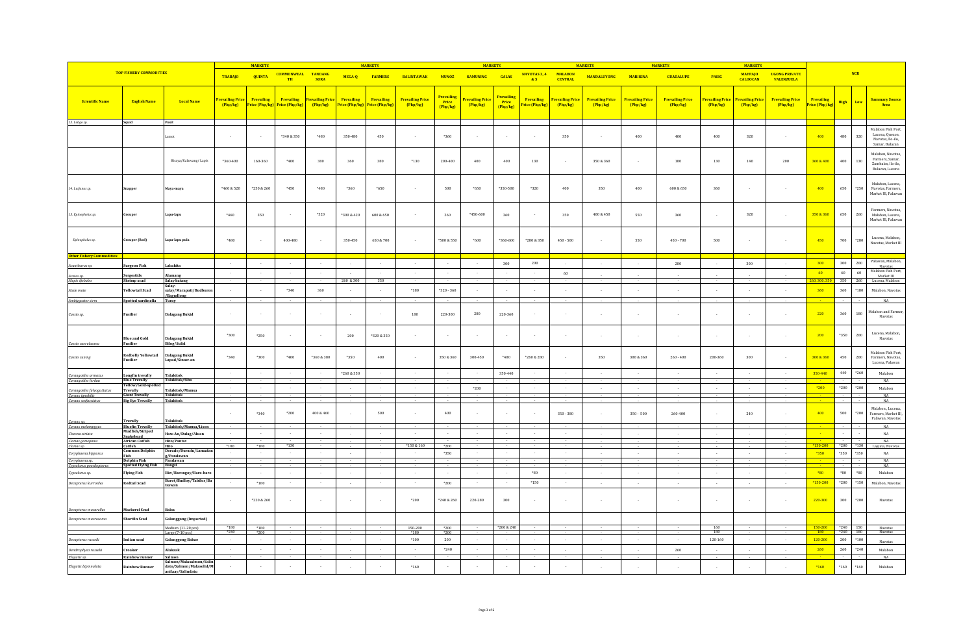|                                                                      |                                                     |                                                    |                                         | <b>MARKETS</b> |                                             |                                   |                              | <b>MARKETS</b>               |                                   |                                 | <b>MARKETS</b>            |                                               |                                    |                           | <b>MARKETS</b>                    |                                   | <b>MARKETS</b>                    |                                         | <b>MARKETS</b>                          |                                           |                                     |                          |              |                                                                               |
|----------------------------------------------------------------------|-----------------------------------------------------|----------------------------------------------------|-----------------------------------------|----------------|---------------------------------------------|-----------------------------------|------------------------------|------------------------------|-----------------------------------|---------------------------------|---------------------------|-----------------------------------------------|------------------------------------|---------------------------|-----------------------------------|-----------------------------------|-----------------------------------|-----------------------------------------|-----------------------------------------|-------------------------------------------|-------------------------------------|--------------------------|--------------|-------------------------------------------------------------------------------|
|                                                                      | <b>TOP FISHERY COMMODITIES</b>                      |                                                    | <b>TRABAJO</b>                          | <b>QUINTA</b>  | <b>COMMONWEAL TANDANG</b><br><b>TH</b>      | <b>SORA</b>                       | MEGA-Q                       | <b>FARMERS</b>               | <b>BALINTAWAK</b>                 | <b>MUNOZ</b>                    | <b>KAMUNING</b>           | <b>GALAS</b>                                  | NAVOTAS 3, 4 MALABON<br>85         | <b>CENTRAL</b>            | <b>MANDALUYONG</b>                | <b>MARIKINA</b>                   | <b>GUADALUPE</b>                  | PASIG                                   | <b>MAYPAJO</b><br><b>CALOOCAN</b>       | <b>UGONG PRIVATE</b><br><b>VALENZUELA</b> |                                     | NCR                      |              |                                                                               |
| <b>Scientific Name</b>                                               | <b>English Name</b>                                 | <b>Local Name</b>                                  | <mark>revailing Price </mark><br>Php/kg | Prevailing     | Prevailing<br>Price (Php/kg) Price (Php/kg) | <b>Prevailing Price</b><br>Php/kg | Prevailing<br>Price (Php/kg) | Prevailing<br>Price (Php/kg) | <b>Prevailing Price</b><br>Php/kg | Prevailing<br>Price<br>(Php/kg) | revailing Price<br>Php/kg | <b>Prevailing</b><br><b>Price</b><br>(Php/kg) | <b>Prevailing</b><br>rice (Php/kg) | Prevailing Pric<br>Php/kg | <b>Prevailing Price</b><br>Php/kg | <b>Prevailing Price</b><br>Php/kg | <b>Prevailing Price</b><br>Php/kg | <mark>Prevailing Price</mark><br>Php/kg | <mark>Prevailing Price</mark><br>Php/kg | <b>Prevailing Price</b><br>(Php/kg)       | <b>Prevailing</b><br>Price (Php/kg) | High                     | Low          | <b>Summary Source</b><br>Area                                                 |
| 13. Loligo sp.                                                       | Squid                                               | Pusit                                              |                                         |                |                                             |                                   |                              |                              |                                   |                                 |                           |                                               |                                    |                           |                                   |                                   |                                   |                                         |                                         |                                           |                                     |                          |              |                                                                               |
|                                                                      |                                                     |                                                    | $\sim$                                  |                | *340 & 350                                  | *480                              | 350-480                      | 450                          |                                   | *360                            |                           | $\sim$                                        |                                    | 350                       |                                   | 400                               | 400                               | 400                                     | 320                                     |                                           | 400                                 | 480                      | 320          | Malabon Fish Port.<br>Lucena, Quezon,<br>Navotas, Ilo-ilo.<br>Samar, Bulacan  |
|                                                                      |                                                     | Bisaya/Kalawang/Lapis                              | $*360 - 400$                            | 160-360        | $*400$                                      | 380                               | $360\,$                      | 380                          | $*130$                            | $200 - 400$                     | $400\,$                   | 400                                           | 130                                | $\sim$                    | 350 & 360                         |                                   | 180                               | 130                                     | 140                                     | $200\,$                                   | 360 & 400                           | 400                      | 130          | Malabon, Navotas,<br>Farmers, Samar,<br>Zambales, Ilo-ilo,<br>Bulacan, Lucena |
| 14. Lutjanus sp.                                                     | nappe                                               | Maya-maya                                          | *460 & 520                              | *250 & 260     | *450                                        | *480                              | *360                         | $*650$                       | $\sim$                            | 500                             | $*650$                    | *350-500                                      | $*320$                             | 400                       | 350                               | 400                               | 600 & 650                         | 360                                     |                                         |                                           | 400                                 | 650                      | $^{\ast}250$ | Malabon, Lucena,<br>Navotas, Farmers,<br>Market III, Palawan                  |
| 15. Epinephelus sp.                                                  | rouper                                              | Lapu-lapu                                          | $*460$                                  | 350            |                                             | $^{\ast}520$                      | *300 & 420                   | 600 & 650                    |                                   | 260                             | $*450.600$                | 360                                           |                                    | 350                       | 400 & 450                         | 550                               | 360                               |                                         | 320                                     | $\sim$                                    | 350 & 360                           | 650                      | $260\,$      | Farmers, Navotas,<br>Malabon, Lucena,<br>Market III, Palawan                  |
| Epinephelus sp.                                                      | irouper (Red)                                       | Lapu-lapu pula                                     | $*480$                                  |                | 400-480                                     |                                   | 350-450                      | 650 & 700                    |                                   | *500 & 550                      | $*600$                    | $*360 - 600$                                  | $*280 & 350$                       | $450 - 500$               |                                   | 550                               | $450 - 700$                       | 500                                     |                                         | $\sim$                                    | 450                                 | $_{\rm 700}$             | $*280$       | Lucena, Malabon,<br>Navotas, Market III                                       |
| Other Fishery Commodities                                            |                                                     |                                                    | $\sim 10^{-1}$                          | $\sim$         | $\sim$                                      | $\sim 100$                        | $\sim$                       | <b>Security</b>              | $\sim$                            | $\sim$                          | $\sim$                    | 300                                           | 200                                | $\sim$                    |                                   |                                   | 280                               | $\sim$                                  | 300                                     |                                           | 300                                 | 300                      | 200          | Palawan, Malabon,                                                             |
| Acanthurus sp.                                                       | Surgeon Fish                                        | abahita<br>Alamang                                 | $\sim$                                  |                |                                             |                                   |                              |                              |                                   | $\sim$                          |                           |                                               |                                    | 60                        |                                   |                                   |                                   |                                         |                                         |                                           | 60                                  | 60                       | $60\,$       | Navotas<br>Malabon Fish Port,                                                 |
| Acetes sp.<br>Alepis djebaba                                         | ergestids<br>Shrimp scad                            | Salay batang<br>Salav-                             |                                         |                |                                             |                                   | 260 & 300                    | 350                          |                                   |                                 |                           |                                               |                                    |                           |                                   |                                   |                                   |                                         |                                         |                                           | 60.300.3                            | 350                      | 260          | Market III<br>Lucena, Malabon                                                 |
| Atule mate                                                           | Yellowtail Scad                                     | salav/Marapati/Budburo<br>/Bagudlong               | $\sim$                                  | $\sim$         | $*340$                                      | 360                               |                              | $\sim$                       | $*180$                            | $*320 - 360$                    | $\sim$                    | $\sim$                                        | $\sim$                             |                           |                                   |                                   |                                   |                                         |                                         |                                           | 360                                 | 360                      | $*180$       | Malabon, Navotas                                                              |
| Ambiygaster sirm                                                     | Spotted sardinella                                  | Turay                                              |                                         |                |                                             |                                   |                              |                              |                                   |                                 |                           |                                               |                                    |                           |                                   |                                   |                                   |                                         |                                         |                                           |                                     |                          |              | NA                                                                            |
| Caesio sp.                                                           | Fusilier                                            | <b>Dalagang Bukid</b>                              |                                         |                |                                             |                                   |                              |                              | 180                               | 220-300                         | ${\bf 280}$               | 220-360                                       |                                    |                           |                                   |                                   |                                   |                                         |                                         |                                           | 220                                 | $3\,60$                  | 180          | Malabon and Farmer<br>Navotas                                                 |
| Caesio caerulaurea                                                   | <b>Blue and Gold</b><br><b>Fusilier</b>             | <b>Dalagang Bukid</b><br><b>Bilog/Sulid</b>        | $*300$                                  | $*250$         |                                             |                                   | 200                          | *320 & 350                   |                                   |                                 |                           |                                               |                                    |                           |                                   |                                   |                                   |                                         |                                         |                                           | 200                                 | $*350$                   | 200          | Lucena, Malabon,<br>Navotas                                                   |
| Caesio cunina                                                        | <b>Redbelly Yellowtail</b><br>Fusilier              | <b>Dalagang Bukid</b><br>Lapad/Sinaw-an            | $*340$                                  | *300           | $*400$                                      | *360 & 380                        | *350                         | 400                          |                                   | 350 & 360                       | 300-450                   | *400                                          | *260 & 280                         | $\sim$                    | 350                               | 300 & 360                         | $260 - 400$                       | 200-360                                 | 300                                     |                                           | 300 & 360                           | 450                      | 200          | Malabon Fish Port,<br>Farmers, Navotas,<br>Lucena, Palawan                    |
| Carangoides armatu                                                   | ongfin trevally                                     | Talakitok<br>Talakitok/Sibo                        | $\sim$                                  |                |                                             |                                   | *260 & 350                   | $\sim$                       | $\sim$                            |                                 |                           | 350-440                                       |                                    | $\sim$                    |                                   |                                   |                                   |                                         |                                         |                                           | 350-440                             | 440                      | $*260$       | Malabon                                                                       |
| Carangoides ferdau                                                   | <b>Blue Trevally</b><br>Yellow/Gold-spe<br>Trevally | Talakitok/Mamsa                                    | $\sim$                                  |                |                                             |                                   | $\sim$                       |                              |                                   |                                 | $*200$                    |                                               |                                    | $\cdot$                   |                                   |                                   | $\sim$                            |                                         |                                         |                                           | $*200$                              | $*200$                   | $*200$       | NA<br>Malabon                                                                 |
| Carangoides fulvoguttatu.<br>Caranx ignobilis<br>Caranx sexfasciatus | <b>Giant Trevally</b><br><b>Big Eye Trevally</b>    | <b>Talakitok</b><br><b>Talakitok</b>               |                                         |                |                                             |                                   |                              |                              |                                   |                                 |                           |                                               |                                    |                           |                                   |                                   |                                   |                                         |                                         |                                           |                                     |                          |              | $_{\rm NA}$<br>NA                                                             |
| Caranx sp.                                                           | Trevally                                            | <b>Talakitok</b>                                   |                                         | $*340$         | *200                                        | 400 & 460                         |                              | 500                          |                                   | 400                             |                           |                                               |                                    | $350 - 380$               |                                   | $350 - 500$                       | 260-400                           |                                         | 240                                     |                                           | 400                                 | 500                      | *200         | Malabon, Lucena,<br>Farmers, Market III<br>Palawan, Navotas                   |
| Caranx melamovaus                                                    | <b>Bluefin Trevally</b><br>Mudfish/Striped          | Talakitok/Mamsa/Lison                              |                                         |                |                                             |                                   |                              |                              |                                   |                                 |                           |                                               |                                    |                           |                                   |                                   |                                   |                                         |                                         |                                           |                                     |                          |              | NA                                                                            |
| Channa striata<br>Clarias gariepinus                                 | Snakehead<br><b>African Catfish</b>                 | Haw-An/Dalag/Aluan<br>Hito/Pantat                  |                                         |                |                                             | $\sim$                            | u.                           | $\sim$                       |                                   | $\sim$                          |                           | $\sim$                                        |                                    | $\sim$                    |                                   |                                   | $\sim$                            |                                         |                                         |                                           |                                     |                          |              | $_{\rm NA}$<br>NA                                                             |
| Clarias sp.                                                          | Catfish<br>Common Dolphir                           | Hito<br>Dorado/Duradu/Lamada                       | $*180$<br>$\sim$                        | $*180$         | $*130$<br>$\sim$                            | $\sim$                            |                              |                              | *150 & 160<br>$\sim$              | $*200$                          |                           | $\sim$                                        |                                    | $\sim$                    |                                   |                                   |                                   |                                         |                                         |                                           | $*130-200$                          | $*200$ $*130$            |              | Laguna, Navotas                                                               |
| Coryphaena hippurus<br>Coryphaena sp.                                | Fish<br><b>Dolphin Fish</b>                         | g/Pandawan<br>Pandawan                             |                                         |                |                                             |                                   | $\sim$                       |                              |                                   | $*350$                          |                           |                                               |                                    |                           |                                   |                                   | $\sim$                            | $\sim$                                  | $\sim$                                  |                                           | *350                                | $*350$<br><b>Service</b> | *350         | $_{\rm NA}$<br><b>NA</b>                                                      |
| Cypselurus poecilopterus                                             | <b>Spotted Flying Fish</b>                          | Bangsi                                             |                                         |                |                                             |                                   | $\sim$                       |                              |                                   | $\sim$                          |                           | $\sim$                                        | $*80$                              | $\sim$                    |                                   |                                   |                                   |                                         |                                         |                                           | $*80$                               | $^*80$                   | $*80$        | NA<br>Malabon                                                                 |
| Cypselurus sp.<br>Decapterus kurroides                               | <b>Flying Fish</b><br><b>Redtail Scad</b>           | Iliw/Barongoy/Baro-baro<br>Burot/Budloy/Tabilos/Bu | $\sim$                                  | $*180$         | $\sim$                                      | $\sim$                            | $\sim$                       | $\sim$                       | $\sim$                            | $*200$                          | $\sim$                    | $\sim$                                        | $*150$                             | $\sim$                    |                                   |                                   | $\sim$                            | $\sim$                                  |                                         | $\sim$                                    | $*150-200$                          | $*200$                   | $^{\ast}150$ | Malahon Navotas                                                               |
|                                                                      |                                                     | tsawan                                             |                                         | *220 & 260     |                                             |                                   |                              |                              |                                   |                                 |                           | 300                                           |                                    |                           |                                   |                                   |                                   |                                         |                                         |                                           | 220-300                             | 300                      | $*200$       |                                                                               |
| Decapterus macarellus                                                | Mackerel Scad                                       | Balsa                                              |                                         |                |                                             |                                   | $\sim$                       | $\sim$                       | $*200$                            | *240 & 260                      | 220-280                   |                                               |                                    | $\sim$                    | $\sim$                            |                                   |                                   |                                         |                                         | $\sim$                                    |                                     |                          |              | Navotas                                                                       |
| Decapterus macrosoma                                                 | Shortfin Scad                                       | <b>Galunggong</b> (Imported)<br>Medium (11-20 pcs) | $*180$                                  | $*180$         |                                             |                                   |                              |                              | 150-200                           | $*200$                          |                           | *200 & 240                                    |                                    |                           |                                   |                                   |                                   | 160                                     |                                         |                                           | 150-200                             | *240 150                 |              |                                                                               |
|                                                                      |                                                     | Large (7-10 pcs)                                   | $*240$                                  | $*200$         |                                             |                                   |                              |                              | *180                              | $*200$                          |                           |                                               |                                    |                           |                                   |                                   |                                   | 180                                     |                                         |                                           | 180                                 | $*240$ 180               |              | Navotas<br>Navotas                                                            |
| Decapterus russelli                                                  | Indian scad                                         | <b>Galunggong Babae</b>                            | $\sim$                                  |                |                                             | $\sim$                            | $\sim$                       |                              | $^{\ast}100$                      | 200                             | $\sim$                    | $\sim$                                        |                                    | $\sim$                    |                                   |                                   | n.                                | 120-160                                 |                                         |                                           | 120-200                             | $200\,$                  | $*100$       | Navotas                                                                       |
| Dendrophysa russelii<br>Elagatis sp.                                 | Croaker<br>Rainbow runner                           | Alakaak<br>Salmon                                  | $\sim$                                  | $\sim$         |                                             | $\sim$                            | $\sim$                       | $\sim$                       | $\sim$                            | $*240$                          | $\sim$                    | $\sim$                                        | $\sim$                             | $\sim$                    | $\sim$                            | $\sim$                            | 260                               | $\sim$                                  | $\sim$                                  | $\sim$                                    | 260                                 | 260                      | $*240$       | Malabon<br>NA                                                                 |
| Elagatis bipinnulata                                                 | <b>Rainbow Runner</b>                               | Salmon/Malasalmon/Salin<br>dato/Salmon/Malasolid/M |                                         |                |                                             |                                   |                              |                              | $*160$                            |                                 |                           |                                               |                                    |                           |                                   |                                   |                                   |                                         |                                         |                                           | *160                                | $*160$                   | $*160$       | Malabon                                                                       |
|                                                                      |                                                     | anilaay/Salindatu                                  |                                         |                |                                             |                                   |                              |                              |                                   |                                 |                           |                                               |                                    |                           |                                   |                                   |                                   |                                         |                                         |                                           |                                     |                          |              |                                                                               |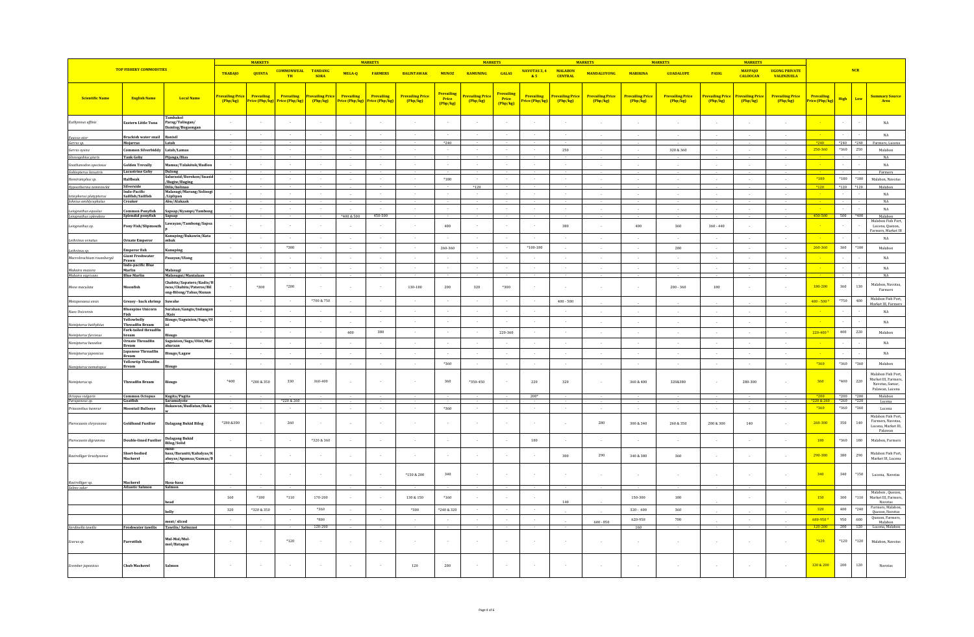|                                                     |                                                |                                                                               |                             | <b>MARKETS</b>               |                                     |                               |                                             | <b>MARKETS</b> |                                     |                                        | <b>MARKETS</b>              |                                              |                              |                                  | <b>MARKETS</b>                      |                                     | <b>MARKETS</b>                      |                              | <b>MARKETS</b>                    |                                           |                              |                     |              |                                                                         |
|-----------------------------------------------------|------------------------------------------------|-------------------------------------------------------------------------------|-----------------------------|------------------------------|-------------------------------------|-------------------------------|---------------------------------------------|----------------|-------------------------------------|----------------------------------------|-----------------------------|----------------------------------------------|------------------------------|----------------------------------|-------------------------------------|-------------------------------------|-------------------------------------|------------------------------|-----------------------------------|-------------------------------------------|------------------------------|---------------------|--------------|-------------------------------------------------------------------------|
|                                                     | <b>TOP FISHERY COMMODITIES</b>                 |                                                                               | <b>TRABAJO</b>              | <b>QUINTA</b>                | <b>COMMONWEAL</b><br><b>TH</b>      | <b>TANDANG</b><br><b>SORA</b> | MEGA-Q                                      | <b>FARMERS</b> | <b>BALINTAWAK</b>                   | <b>MUNOZ</b>                           | <b>KAMUNING</b>             | <b>GALAS</b>                                 | NAVOTAS 3, 4<br>85           | <b>MALABON</b><br><b>CENTRAL</b> | <b>MANDALUYONG</b>                  | <b>MARIKINA</b>                     | <b>GUADALUPE</b>                    | PASIG                        | <b>MAYPAJO</b><br><b>CALOOCAN</b> | <b>UGONG PRIVATE</b><br><b>VALENZUELA</b> |                              |                     | NCR          |                                                                         |
| <b>Scientific Name</b>                              | <b>English Name</b>                            | <b>Local Name</b>                                                             | revailing Price<br>[Php/kg] | Prevailing<br>Price (Php/kg) | Prevailing<br><b>Price (Php/kg)</b> | Prevailing Price<br>Php/kg    | Prevailing<br>Price (Php/kg) Price (Php/kg) | Prevailing     | <b>Prevailing Price</b><br>(Php/kg) | <b>Prevailing</b><br>Price<br>(Php/kg) | revailing Price<br>(Php/kg) | <mark>Prevailing</mark><br>Price<br>(Php/kg) | Prevailing<br>Price (Php/kg) | Prevailing Pric<br>[Php/kg]      | <b>Prevailing Price</b><br>[Php/kg] | <b>Prevailing Price</b><br>(Php/kg) | <b>Prevailing Price</b><br>[Php/kg] | Prevailing Price<br>(Php/kg) | Prevailing Price<br>[Php/kg]      | <b>Prevailing Price</b><br>(Php/kg)       | Prevailing<br>Price (Php/kg) | High                | Low          | <b>Summary Source</b><br>Area                                           |
| Euthynnus affinis                                   | lastern Little Tuna                            | ambakol<br>Parag/Tulingan/<br>Damlog/Bogaongar                                | $\sim$                      | $\sim$                       |                                     |                               | $\cdot$                                     |                | $\sim$                              |                                        | $\sim$                      |                                              |                              | $\sim$                           |                                     | $\sim$                              | $\sim$                              |                              |                                   |                                           |                              |                     |              | $_{\rm NA}$                                                             |
| <sup>c</sup> aunus ater<br>Gerres sp.               | Brackish water snail<br>Mojarras               | Banisil<br>Latab                                                              |                             | $\sim$                       |                                     |                               | $\epsilon$                                  |                |                                     | $*240$                                 |                             |                                              |                              |                                  |                                     |                                     |                                     |                              |                                   |                                           | $*240$                       | $*240$ $*240$       |              | $_{\rm NA}$<br>Farmers, Lucena                                          |
| Gerres ovena                                        | Common Silverbiddy                             | Latab/Lamas                                                                   | $\sim$                      | $\sim$                       |                                     |                               | $\sim$                                      | $\sim$         | $\sim$                              |                                        | $\sim$                      | $\sim$                                       |                              | 250                              | $\sim$                              | $\sim$                              | 320 & 360                           | $\sim$                       | $\sim$                            | $\sim$                                    | 250-360                      | $*360$              | 250          | Malabon<br>NA                                                           |
| Glossogobius giuris<br><b>Gnathanodon speciosus</b> | <b>Tank Goby</b><br>Golden Trevally            | Pijanga/Bias<br>amsa/Talakitok/Badlon                                         |                             | $\sim$                       |                                     |                               |                                             | $\sim$         | $\sim$                              |                                        |                             |                                              |                              |                                  |                                     |                                     |                                     |                              |                                   |                                           |                              |                     |              | $_{\rm NA}$                                                             |
| Gobiopterus lacustri<br>Hemiramphus sp.             | <b>Lacustrine Goby</b><br>Halfbeak             | Dulong<br>Salurasid/Borokon/Suasi                                             |                             | $\sim$                       |                                     |                               | $\sim$                                      |                |                                     | $*180$                                 |                             |                                              |                              |                                  |                                     |                                     |                                     | - 1                          |                                   |                                           | $*180$                       | $^{\ast}180$        | $*180$       | Farmers<br>Malabon, Navotas                                             |
| Hypoatherina temminckii                             | Silverside                                     | /Bugiw/Buging<br>Dilis/bolinao                                                |                             |                              |                                     |                               |                                             |                |                                     |                                        | $*120$                      |                                              |                              |                                  |                                     |                                     |                                     |                              |                                   |                                           |                              | $*120$              | $*120$       | Malabon                                                                 |
| Istiophorus platypteru:<br>Johnius amblycephalus    | ndo-Pacific<br>Sailfish/Sailfi:<br>Croaker     | Malasugi/Marang/Solisop<br>/Liplipan<br>Abu/Alakaak                           |                             | $\sim$                       |                                     |                               | $\cdot$                                     | $\sim$         | $\sim$                              |                                        | $\sim$                      |                                              |                              | $\sim$                           |                                     |                                     |                                     |                              |                                   |                                           |                              |                     |              | $_{\rm NA}$<br>NA                                                       |
| Leiognathus equulus                                 | ommon Ponyfish                                 | Sapsap/Kyampi/Tambon                                                          |                             | $\sim$                       |                                     |                               | $\sim$                                      |                | $\sim$                              |                                        | $\sim$                      |                                              |                              | $\sim$                           |                                     | $\sim$                              | $\sim$                              | $\sim$                       | $\sim$                            |                                           |                              |                     |              | $_{\rm NA}$                                                             |
| Leiognathus splendens                               | Splendid ponyfish                              | Sapsap                                                                        |                             |                              |                                     |                               | *400 & 500                                  | 450-500        |                                     |                                        |                             |                                              |                              |                                  |                                     |                                     |                                     |                              |                                   |                                           | 450-500                      | 500                 | $*400$       | Malabon<br>Malabon Fish Port                                            |
| Leiognathus sp.                                     | Pony Fish/Slipmouth                            | Lawayan/Tambong/Sapsa                                                         |                             |                              |                                     |                               | $\sim$                                      |                |                                     | 400                                    |                             |                                              |                              | 380                              |                                     | 400                                 | 360                                 | $360 - 440$                  |                                   |                                           |                              |                     |              | Lucena, Quezon,<br>Farmers, Market III                                  |
| Lethrinus ornatu.                                   | <b>Ornate Emperor</b>                          | Kanuping/Bukawin/Kata<br>mhak                                                 |                             | $\sim$<br>$\sim$             |                                     |                               | $\sim$<br>$\cdot$                           |                | $\sim$                              |                                        |                             |                                              |                              |                                  |                                     |                                     |                                     |                              |                                   |                                           | 260-360                      |                     |              | NA                                                                      |
| Lethrinus sp.                                       | <b>Emperor</b> fish<br><b>Giant Freshwater</b> | Kanuping                                                                      | $\sim$                      | $\sim$                       | $^{\ast}380$                        |                               | $\sim$                                      | $\sim$         | $\sim$                              | 260-360                                | $\sim$                      | $\sim$                                       | $*100 - 180$                 | $\sim$                           |                                     | $\sim$                              | 280                                 | $\sim$                       |                                   | in 1919.                                  |                              | 360                 | $^{\ast}100$ | Malabon<br>NA                                                           |
| Macrobrachium rosenbergii                           | Prawn<br>Indo-pacific Blue                     | Pasayan/Ulang                                                                 | $\sim$                      | $\sim$                       | $\sim$                              | $\sim$                        |                                             | $\epsilon$     | $\sim$                              |                                        | $\sim$                      |                                              |                              | $\sim$                           | $\sim$                              | $\sim$                              | $\sim$                              | n.                           | ÷.                                | $\sim$                                    |                              |                     |              | NA                                                                      |
| Makaira mazara<br>Makaira niaricans                 | Marlin<br><b>Blue Marlin</b>                   | Malasugi<br>Malasugui/Mantalaan                                               |                             |                              |                                     |                               | $\sim$                                      |                |                                     |                                        |                             |                                              |                              |                                  |                                     |                                     |                                     |                              |                                   |                                           |                              |                     |              | NA                                                                      |
| Mene maculata                                       | <b>Ioonfish</b>                                | Chabita/Sapatero/Kadis/<br>iwas/Chabita/Pateros/Bil<br>ong-Bilong/Tabas/Kunan |                             | $*300$                       | $*200$                              |                               | $\sim$                                      |                | 130-180                             | 200                                    | 320                         | $*300$                                       |                              |                                  |                                     |                                     | $200 - 360$                         | 180                          |                                   |                                           | 180-200                      | 360                 | 130          | Malabon, Navotas,<br>Farmers                                            |
| Metapenaeus ensis                                   | Greasy - back shrimp                           | Suwahe                                                                        | $\sim$                      | $\sim$                       |                                     | *700 & 750                    | $\sim$                                      | $\sim$         | $\sim$                              |                                        | $\sim$                      | $\sim$                                       | $\sim$                       | $400 - 500$                      |                                     |                                     |                                     |                              |                                   |                                           | $400 - 500^2$                | $*750$              | 400          | Malabon Fish Port,<br>Market III, Farmers                               |
| Naso Unicornis                                      | <b>Bluespine Unicorn</b><br>Fish               | Surahan/Gangis/Indangar<br>/Kais                                              | $\sim$                      | $\sim$                       | $\sim$                              |                               | $\sim$                                      | $\sim$         | $\sim$                              | $\sim$                                 | $\sim$                      | $\sim$                                       | $\sim$                       | $\sim$                           | $\sim$                              | $\sim$                              | $\sim$                              | $\sim$                       | $\sim$                            | $\sim$                                    |                              |                     |              | NA                                                                      |
|                                                     | Yellowbelly<br><b>Threadfin Bream</b>          | Bisugo/Saguision/Suga/O                                                       | $\sim$                      | $\sim$                       | $\sim$                              | $\sim$                        | $\sim$                                      | $\sim$         | $\sim$                              |                                        | $\sim$                      | $\sim$                                       | $\sim$                       | $\sim$                           |                                     | $\sim$                              | $\sim$                              | $\sim$                       |                                   | $\sim$                                    |                              |                     |              | $_{\rm NA}$                                                             |
| Nemipterus bathybius                                | Fork-tailed threadfin                          |                                                                               | $\sim$                      | $\sim 10^{-1}$               | $\sim$                              | $\sim$                        | 400                                         | 380            | $\sim$                              | $\sim$                                 | $\sim$                      | 220-360                                      | $\sim$                       | $\sim$                           | $\sim$                              | $\sim$                              | $\sim$                              | $\sim 10^{-1}$               | $\sim$                            | $\sim 10^{-1}$                            | 220-400*                     | 400                 | 220          | Malahon                                                                 |
| Nemipterus furco<br>Nemipterus hexodon              | bream<br><b>Ornate Threadfin</b>               | <b>Bisugo</b><br>Saguision/Suga/Olisi/Mar                                     | $\sim$                      | $\sim$                       | $\sim$                              | $\sim$                        | $\sim$                                      | $\sim$         | $\sim$                              |                                        | $\sim$                      | $\sim$                                       | $\sim$                       | $\sim$                           |                                     | $\sim$                              | $\sim$                              | $\sim$                       | $\sim$                            |                                           |                              |                     |              | NA                                                                      |
| Nemipterus japonicus                                | Bream<br>Japanese Threadfin                    | abaraan<br>Bisugo/Lagav                                                       | $\sim$                      | $\sim 10^{-1}$               | $\sim$                              | $\sim$                        | $\sim$                                      | $\sim$         | $\sim$                              | $\sim$                                 | $\sim$                      | $\sim$                                       | $\sim$                       | $\sim$                           | $\sim$                              | $\sim$                              | $\sim$                              | $\sim$                       | $\sim$                            | $\sim$                                    |                              |                     |              | NA                                                                      |
|                                                     | Bream<br><b>Yellowtip Threadfin</b>            |                                                                               | $\sim$                      | $\sim$                       | - 11                                | $\sim$                        | $\sim$                                      | $\sim$         | $\sim$                              | $*360$                                 | $\sim$                      | $\sim$                                       | $\sim$                       | $\sim$                           |                                     | $\sim$                              |                                     | $\sim$                       |                                   |                                           | $*360$                       | $*360$              | *360         | Malabon                                                                 |
| Nemipterus nematopu                                 | <b>Bream</b>                                   | <b>Bisugo</b>                                                                 |                             |                              |                                     |                               |                                             |                |                                     |                                        |                             |                                              |                              |                                  |                                     |                                     |                                     |                              |                                   |                                           |                              |                     |              | Malabon Fish Port.                                                      |
| Nemipterus sp.                                      | <b>Threadfin Bream</b>                         | sisugo                                                                        | $*400$                      | *280 & 350                   | 330                                 | 360-400                       |                                             |                |                                     | 360                                    | *350-450                    |                                              | 220                          | 320                              |                                     | 360 & 400                           | 320&380                             |                              | 280-300                           |                                           | 360                          | *400                | 220          | Market III. Farmers<br>Navotas, Samar,<br>Palawan, Lucena               |
| Octopus vulgaris<br>Parupeneus sp.                  | <b>Common Octopus</b><br><b>Goatfish</b>       | Kugita/Pugita<br>Saramulyete                                                  |                             |                              | *220 & 260                          |                               |                                             |                |                                     |                                        |                             |                                              | $200*$                       |                                  |                                     |                                     |                                     |                              |                                   |                                           | $*200$<br>20 & 26            | *200 *200<br>$*260$ | $*220$       | Malabon<br>Lucena                                                       |
| Priacanthus hamrur                                  | Moontail Bullseye                              | Bukawon/Budlatan/Buka                                                         |                             | $\sim$                       |                                     |                               | $\sim$                                      |                | $\sim$                              | *360                                   |                             |                                              |                              |                                  |                                     | $\sim$                              | $\sim$                              | $\sim$                       |                                   |                                           | *360                         | $*360$              | $*360$       | Lucena                                                                  |
| Pterocaesio chrysozona                              | Goldband Fusilier                              | <b>Dalagang Bukid Bilog</b>                                                   | *280 &300                   | $\sim$                       | 260                                 |                               |                                             |                |                                     |                                        |                             |                                              |                              |                                  | 280                                 | 300 & 340                           | 260 & 350                           | 280 & 300                    | $140\,$                           |                                           | 260-300                      | 350                 | 140          | Malabon Fish Port,<br>Farmers Navotas<br>Lucena, Market III.<br>Palawan |
| Pterocaesio digramma                                | ouble-lined Fusilie                            | <b>Dalagang Bukid</b><br><b>Bilog/Solid</b>                                   |                             | $\sim$                       |                                     | *320 & 360                    |                                             |                |                                     |                                        |                             |                                              | $180\,$                      |                                  |                                     |                                     |                                     |                              |                                   |                                           | 180                          | *360                | 180          | Malabon, Farmers                                                        |
| Rastrelliger brachysoma                             | Short-bodied<br>Mackerel                       | hasa/Baraniti/Kabalyas/F<br>abayas/Agumaa/Gumaa/E                             |                             | $\sim$                       |                                     |                               | $\sim$                                      |                |                                     | $\sim$                                 |                             |                                              |                              | 300                              | 290                                 | 340 & 380                           | 360                                 |                              |                                   |                                           | 290-380                      | 380                 | 290          | Malabon Fish Port,<br>Market III, Lucena                                |
|                                                     |                                                |                                                                               |                             | $\sim$                       |                                     |                               | $\sim$                                      |                | *150 & 200                          | 340                                    |                             |                                              |                              |                                  |                                     |                                     |                                     |                              |                                   |                                           | 340                          | 340                 | $*150$       | Lucena, Navotas                                                         |
| Rastrelliger sp.<br>salmo sala                      | Mackerel<br><b>Atlantic Salmon</b>             | Hasa-hasa<br>Salmon                                                           |                             |                              |                                     |                               |                                             |                |                                     |                                        |                             |                                              |                              |                                  |                                     |                                     |                                     |                              |                                   |                                           |                              |                     |              |                                                                         |
|                                                     |                                                | head                                                                          | 160                         | $*180$                       | $*110$                              | 170-200                       |                                             |                | 130 & 150                           | $*160$                                 |                             |                                              |                              | 140                              |                                     | 150-300                             | 180                                 |                              |                                   |                                           | 150                          | 300                 | $*110$       | Malabon, Quezon,<br>Market III. Farmers<br>Navotas                      |
|                                                     |                                                | belly                                                                         | 320                         | *320 & 350                   |                                     | $*360$                        | $\sim$                                      |                | $^{\ast}300$                        | *240 & 320                             | $\sim$                      |                                              |                              |                                  |                                     | $320 - 400$                         | $360\,$                             |                              |                                   |                                           | 320                          | 400                 | $*240$       | Farmers, Malabon,<br>Quezon, Navotas                                    |
|                                                     |                                                | neat/sliced                                                                   |                             | $\sim$                       |                                     | $*800$                        | $\sim$                                      | $\sim$         |                                     |                                        | $\sim$                      | $\sim$                                       |                              |                                  | $600 - 850$                         | 620-950                             | 700                                 |                              |                                   |                                           | 600-9504                     | 950                 | 600          | Quezon, Farmers,<br>Malabon                                             |
| Sardinella tawilis                                  | <b>Freshwater tawilis</b>                      | Tawilis/Salinyas                                                              |                             |                              |                                     | 120-200                       |                                             |                |                                     |                                        |                             |                                              |                              |                                  |                                     | 160                                 |                                     |                              |                                   |                                           | 120-200                      | 200                 | 120          | Lucena, Malabon                                                         |
| Scarus sp.                                          | Parrotfish                                     | Mul-Mol/Mol-<br>mol/Batagon                                                   |                             |                              | $^{\ast}120$                        |                               |                                             |                |                                     |                                        |                             |                                              |                              |                                  |                                     |                                     |                                     |                              |                                   |                                           | $*120$                       | $^{\ast}120$        | $*120$       | Malabon, Navotas                                                        |
| Scomber japonicus                                   | <b>Chub Mackerel</b>                           |                                                                               |                             | $\sim$                       |                                     |                               |                                             |                | 120                                 | $200\,$                                |                             |                                              |                              |                                  |                                     |                                     |                                     |                              |                                   |                                           | 120 & 200                    | 200                 | 120          | Navotas                                                                 |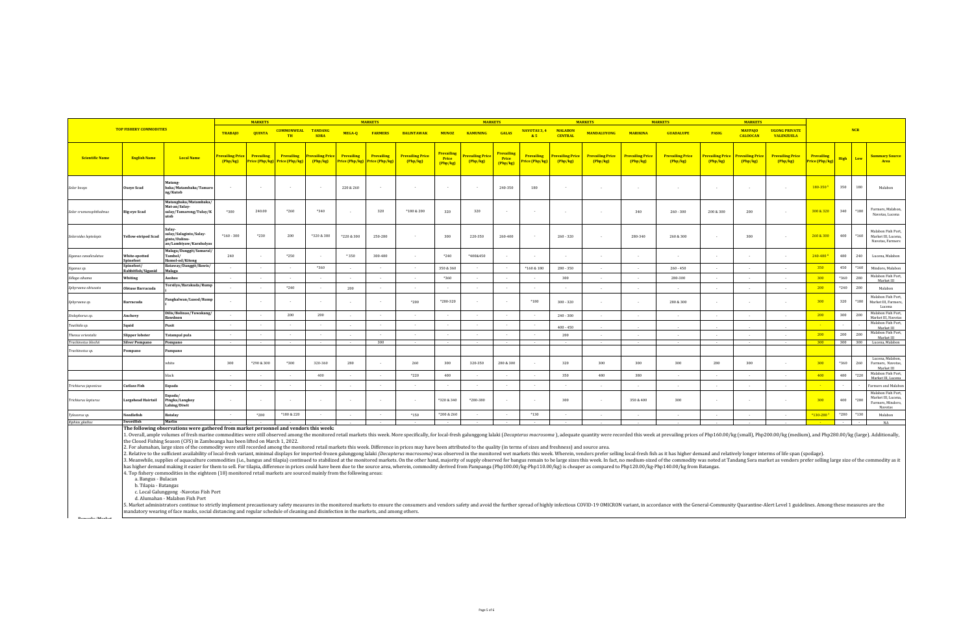|                          |                                  |                                                                                                                                                                                                                                                                                                                         |                                  | <b>MARKETS</b>    |                                                           |                               |                   | <b>MARKETS</b>                                     |                                     |                                        | <b>MARKETS</b>                     |                                        |                                     |                                  | <b>MARKETS</b>                      |                                   | <b>MARKETS</b>                    |                                   | <b>MARKETS</b>                      |                                           |                                     |             |             |                                                                           |
|--------------------------|----------------------------------|-------------------------------------------------------------------------------------------------------------------------------------------------------------------------------------------------------------------------------------------------------------------------------------------------------------------------|----------------------------------|-------------------|-----------------------------------------------------------|-------------------------------|-------------------|----------------------------------------------------|-------------------------------------|----------------------------------------|------------------------------------|----------------------------------------|-------------------------------------|----------------------------------|-------------------------------------|-----------------------------------|-----------------------------------|-----------------------------------|-------------------------------------|-------------------------------------------|-------------------------------------|-------------|-------------|---------------------------------------------------------------------------|
|                          | <b>TOP FISHERY COMMODITIES</b>   |                                                                                                                                                                                                                                                                                                                         | <b>TRABAJO</b>                   | <b>QUINTA</b>     | <b>COMMONWEAL</b><br>TH                                   | <b>TANDANG</b><br><b>SORA</b> | MEGA-Q            | <b>FARMERS</b>                                     | <b>BALINTAWAK</b>                   | <b>MUNOZ</b>                           | <b>KAMUNING</b>                    | <b>GALAS</b>                           | <b>NAVOTAS 3, 4</b><br>85           | <b>MALABON</b><br><b>CENTRAL</b> | <b>MANDALUYONG</b>                  | <b>MARIKINA</b>                   | <b>GUADALUPE</b>                  | <b>PASIG</b>                      | <b>MAYPAIO</b><br><b>CALOOCAN</b>   | <b>UGONG PRIVATE</b><br><b>VALENZUELA</b> |                                     |             | <b>NCR</b>  |                                                                           |
| <b>Scientific Name</b>   | <b>English Name</b>              | <b>Local Name</b>                                                                                                                                                                                                                                                                                                       | <b>revailing Price</b><br>Php/kg | <b>Prevailing</b> | <b>Prevailing</b><br><b>Price (Php/kg)</b> Price (Php/kg) | Prevailing Price<br>Php/kg    | <b>Prevailing</b> | Prevailing<br><b>Price (Php/kg) Price (Php/kg)</b> | <b>Prevailing Price</b><br>(Php/kg) | Prevailing<br><b>Price</b><br>(Php/kg) | <b>revailing Price</b><br>(Php/kg) | Prevailing<br><b>Price</b><br>(Php/kg) | <b>Prevailing</b><br>Price (Php/kg) | Prevailing Price<br>Php/kg       | <b>Prevailing Price</b><br>(Php/kg) | <b>Prevailing Price</b><br>Php/kg | <b>Prevailing Price</b><br>Php/kg | <b>Prevailing Price</b><br>Php/kg | <b>Prevailing Price</b><br>(Php/kg) | <b>Prevailing Price</b><br>(Php/kg)       | <b>Prevailing</b><br>Price (Php/kg) | High Low    |             | <b>Summary Source</b><br>Area                                             |
| Selar boops              | <b>Oxeye Scad</b>                | Matang-<br>baka/Matambaka/Tamaro<br>ng/Kutob                                                                                                                                                                                                                                                                            |                                  |                   |                                                           |                               | 220 & 260         |                                                    | $\sim$                              |                                        |                                    | 240-350                                | 180                                 | ۰.                               |                                     |                                   | $\overline{\phantom{a}}$          |                                   |                                     | $\sim$                                    | 180-350 <sup>s</sup>                | 350         | 180         | Malabon                                                                   |
| Selar crumenophthalmus   | Big-eye Scad                     | Matangbaka/Matambaka/<br>Mat-an/Salay-<br>salay/Tamarong/Tulay/K                                                                                                                                                                                                                                                        | *300                             | 240.00            | $*260$                                                    | *340                          | - 20              | 320                                                | *180 & 200                          | 320                                    | 320                                | ×                                      |                                     |                                  |                                     | 340                               | $260 - 300$                       | 200 & 300                         | 200                                 | $\sim$                                    | 300 & 320                           | 340         | $*180$      | Farmers, Malabon,<br>Navotas, Lucena                                      |
| Selaroides leptolepis    | Yellow-striped Scad              | salay/Salaginto/Salay-<br>ginto/Dalinu-<br>an/Lambiyaw/Karabalyas                                                                                                                                                                                                                                                       | $*160 - 300$                     | *230              | 200                                                       | *320 & 380                    | *220 & 300        | 250-280                                            |                                     | 300                                    | 220-350                            | 260-400                                |                                     | $260 - 320$                      |                                     | 280-340                           | 260 & 300                         |                                   | 300                                 | $\sim$                                    | 260 & 300                           | 400         | $*160$      | Malabon Fish Port,<br>Market III, Lucena,<br>Navotas, Farmers             |
| Siganus canaliculatus    | White-spotted<br>Spinefoot       | Malaga/Danggit/Samaral/<br>Tambol/<br>Hamol-od/Kitong                                                                                                                                                                                                                                                                   | 240                              | $\sim$            | $*250$                                                    |                               | $*350$            | 300-480                                            | $\sim$                              | $*240$                                 | *400&450                           |                                        |                                     | $\sim$                           |                                     | $\sim$                            | $\sim$                            | $\sim$                            |                                     | $\sim$                                    | $240 - 480$                         | 480         | 240         | Lucena, Malabon                                                           |
| Siganus sp.              | Spinefoot/<br>Rabbitfish/Siganid | Bataway/Danggit/Bawis/<br>Malaga                                                                                                                                                                                                                                                                                        |                                  | $\sim$            |                                                           | $*360$                        | $\sim$            |                                                    | $\sim$                              | 350 & 360                              |                                    |                                        | *160 & 180                          | $280 - 350$                      |                                     |                                   | $260 - 450$                       | $\sim$                            |                                     |                                           | 350                                 | 450         | $*160$      | Mindoro, Malabon                                                          |
| Sillago sihama           | Whiting                          | Asohos                                                                                                                                                                                                                                                                                                                  |                                  |                   |                                                           |                               | . .               |                                                    |                                     | $*360$                                 |                                    |                                        |                                     | 300                              |                                     |                                   | 280-300                           |                                   |                                     |                                           | 300                                 | *360        | 280         | Malabon Fish Port,<br>Market III                                          |
| Sphyraena obtusata       | Obtuse Barracuda                 | Torsilyo/Barakuda/Rump                                                                                                                                                                                                                                                                                                  |                                  | $\sim$            | $*240$                                                    |                               | 200               |                                                    |                                     |                                        |                                    |                                        |                                     |                                  |                                     | $\sim$                            | $\sim$                            | $\sim$ $\sim$                     |                                     | $\sim$                                    | 200                                 | $*240$      | 200         | Malabon                                                                   |
| Sphyraena sp.            | Barracuda                        | Panghalwan/Lusod/Rump                                                                                                                                                                                                                                                                                                   |                                  | $\sim$            |                                                           |                               | $\sim$            |                                                    | $*200$                              | *280-320                               |                                    | $\sim$                                 | *180                                | $300 - 320$                      |                                     | $\sim$                            | 280 & 300                         | $\sim$                            |                                     |                                           | 300                                 | 320         | $*180$      | Malabon Fish Port,<br>Market III, Farmers,<br>Lucena                      |
| Stolephorus sp.          | Anchovy                          | Dilis/Bolinao/Tuwakang/<br>Bawdnon                                                                                                                                                                                                                                                                                      |                                  | $\sim$            | 200                                                       | 200                           |                   |                                                    |                                     |                                        |                                    | $\sim$                                 |                                     | $240 - 300$                      |                                     |                                   | $\overline{\phantom{a}}$          |                                   |                                     |                                           | 200                                 | 300         | 200         | Malabon Fish Port,<br>Market III, Navotas                                 |
| Teuthida sp.             | Squid                            | Pusit                                                                                                                                                                                                                                                                                                                   | $\sim$                           | $\sim$            |                                                           |                               | $\sim$            |                                                    |                                     | $\sim$                                 |                                    | $\sim$                                 |                                     | $400 - 450$                      |                                     |                                   |                                   |                                   |                                     |                                           |                                     | $\sim$      |             | Malabon Fish Port,<br>Market III                                          |
| <b>Thenus orientalis</b> | Slipper lobster                  | Tatampal pula                                                                                                                                                                                                                                                                                                           |                                  |                   |                                                           |                               |                   |                                                    |                                     |                                        |                                    |                                        |                                     | 200                              |                                     |                                   |                                   |                                   |                                     |                                           | 200                                 | 200         | 200         | Malabon Fish Port,<br>Market III                                          |
| Trachinotus blochii      | <b>Silver Pompano</b>            | Pompano                                                                                                                                                                                                                                                                                                                 | $\sim 100$                       | $\sim$            |                                                           |                               |                   | 300                                                | $\sim$                              |                                        |                                    | $\sim$                                 |                                     | $\sim$                           |                                     |                                   |                                   |                                   |                                     |                                           | 300                                 | 300         | 300         | Lucena, Malabon                                                           |
| Trachinotus sp.          | Pompano                          | Pampano                                                                                                                                                                                                                                                                                                                 |                                  |                   |                                                           |                               |                   |                                                    |                                     |                                        |                                    |                                        |                                     |                                  |                                     |                                   |                                   |                                   |                                     |                                           |                                     |             |             |                                                                           |
|                          |                                  | white                                                                                                                                                                                                                                                                                                                   | 300                              | *290 & 300        | *300                                                      | 320-360                       | 280               |                                                    | 260                                 | 300                                    | 320-350                            | 280 & 300                              |                                     | 320                              | 300                                 | 300                               | 300                               | 280                               | 300                                 |                                           | 300<br>400                          | *360<br>480 | 260<br>+220 | Lucena, Malabon,<br>Farmers, Navotas,<br>Market III<br>Malabon Fish Port, |
|                          |                                  | black                                                                                                                                                                                                                                                                                                                   |                                  | $\sim$            |                                                           | 400                           |                   |                                                    | $*220$                              | 400                                    |                                    | $\sim$                                 |                                     | 350                              | 480                                 | 380                               | $\sim$                            |                                   |                                     |                                           |                                     |             |             | Market III, Lucena                                                        |
| Trichiurus japonicus     | <b>Cutlass Fish</b>              | Espada                                                                                                                                                                                                                                                                                                                  |                                  |                   |                                                           |                               | $\sim$            |                                                    |                                     |                                        |                                    |                                        |                                     |                                  |                                     |                                   | $\sim$                            | $\sim$                            |                                     |                                           |                                     |             |             | armers and Malabon                                                        |
| Trichiurus lepturus      | Largehead Hairtail               | Espada/<br>Pingka/Langkoy<br>Lahing/Diwit                                                                                                                                                                                                                                                                               |                                  | 14                |                                                           |                               |                   |                                                    | $\sim$                              | *320 & 340                             | *280-380                           |                                        |                                     | 300                              |                                     | 350 & 400                         | 300                               | $\sim$                            |                                     | $\sim$                                    | 300                                 | 400         | +280        | Malabon Fish Port,<br>Market III, Lucena,<br>Farmers, Mindoro,<br>Navotas |
| Tylosorus sp.            | Needlefish                       | Batalay                                                                                                                                                                                                                                                                                                                 |                                  | *280              | *180 & 220                                                |                               |                   |                                                    | *150                                | $*200 & 260$                           |                                    |                                        | $*130$                              |                                  |                                     |                                   |                                   |                                   |                                     |                                           | *130-280                            | $*280$      | *130        | Malabon                                                                   |
| Xiphias gladius          | Swordfish                        | Marlin                                                                                                                                                                                                                                                                                                                  |                                  |                   |                                                           |                               |                   |                                                    |                                     |                                        |                                    |                                        |                                     |                                  |                                     |                                   |                                   |                                   |                                     |                                           |                                     |             |             | NA                                                                        |
|                          |                                  | The following observations were gathered from market personnel and vendors this week:<br>1. Overall, ample volumes of fresh marine commodities were still observed among the monitored retail markets this week. More specifically, for local-fresh galunggong lalaki (Decapterus macrosoma), adequate quantity were re |                                  |                   |                                                           |                               |                   |                                                    |                                     |                                        |                                    |                                        |                                     |                                  |                                     |                                   |                                   |                                   |                                     |                                           |                                     |             |             |                                                                           |

the Closed Fishing Season (CFS) in Zamboanga has been lifted on March 1, 2022.

2. For alumahan, large sizes of the commodity were still recorded among the monitored retail markets this week. Difference in prices may have been attributed to the quality (in terms of sizes and freshness) and source area.

2. Relative to the sufficient availability of local-fresh variant, minimal displays for imported-frozen galunggong lalaki (*Decapterus macrosoma)* was observed in the monitored wet markets this week. Wherein, vendors prefe

4. Top fishery commodities in the eighteen (18) monitored retail markets are sourced mainly from the following areas: a. Bangus - Bulacan

**Remarks/Market** 

b. Tilapia - Batangas

c. Local Galunggong -Navotas Fish Port

d. Alumahan - Malabon Fish Port

5. Market administrators continue to strictly implement precautionary safety measures in the monitored markets to ensure the consumers and vendors safety and avoid the further spread of highly infectious COVID-19 OMICRON v